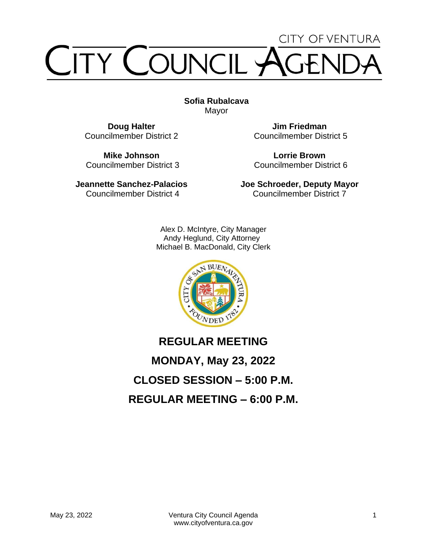# **CITY OF VENTURA TY COUNCIL**

**Sofia Rubalcava** Mayor

**Doug Halter** Councilmember District 2

**Mike Johnson** Councilmember District 3

**Jeannette Sanchez-Palacios** Councilmember District 4

**Jim Friedman** Councilmember District 5

**Lorrie Brown** Councilmember District 6

**Joe Schroeder, Deputy Mayor** Councilmember District 7

Alex D. McIntyre, City Manager Andy Heglund, City Attorney Michael B. MacDonald, City Clerk



# **REGULAR MEETING MONDAY, May 23, 2022 CLOSED SESSION – 5:00 P.M. REGULAR MEETING – 6:00 P.M.**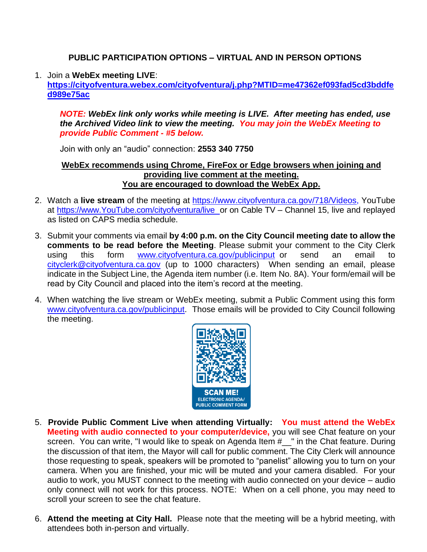#### **PUBLIC PARTICIPATION OPTIONS – VIRTUAL AND IN PERSON OPTIONS**

#### 1. Join a **WebEx meeting LIVE**:

**[https://cityofventura.webex.com/cityofventura/j.php?MTID=me47362ef093fad5cd3bddfe](https://cityofventura.webex.com/cityofventura/j.php?MTID=me47362ef093fad5cd3bddfed989e75ac) [d989e75ac](https://cityofventura.webex.com/cityofventura/j.php?MTID=me47362ef093fad5cd3bddfed989e75ac)**

*NOTE: WebEx link only works while meeting is LIVE. After meeting has ended, use the Archived Video link to view the meeting. You may join the WebEx Meeting to provide Public Comment - #5 below.*

Join with only an "audio" connection: **2553 340 7750**

#### **WebEx recommends using Chrome, FireFox or Edge browsers when joining and providing live comment at the meeting. You are encouraged to download the WebEx App.**

- 2. Watch a **live stream** of the meeting at [https://www.cityofventura.ca.gov/718/Videos,](https://www.cityofventura.ca.gov/718/Videos) YouTube at [https://www.YouTube.com/cityofventura/live](https://www.youtube.com/cityofventura/live) or on Cable TV – Channel 15, live and replayed as listed on CAPS media schedule.
- 3. Submit your comments via email **by 4:00 p.m. on the City Council meeting date to allow the comments to be read before the Meeting**. Please submit your comment to the City Clerk using this form [www.cityofventura.ca.gov/publicinput](http://www.cityofventura.ca.gov/publicinput) or send an email to [cityclerk@cityofventura.ca.gov](mailto:cityclerk@cityofventura.ca.gov) (up to 1000 characters) When sending an email, please indicate in the Subject Line, the Agenda item number (i.e. Item No. 8A). Your form/email will be read by City Council and placed into the item's record at the meeting.
- 4. When watching the live stream or WebEx meeting, submit a Public Comment using this form [www.cityofventura.ca.gov/publicinput.](http://www.cityofventura.ca.gov/publicinput) Those emails will be provided to City Council following the meeting.



- 5. **Provide Public Comment Live when attending Virtually: You must attend the WebEx Meeting with audio connected to your computer/device,** you will see Chat feature on your screen. You can write, "I would like to speak on Agenda Item #\_\_" in the Chat feature. During the discussion of that item, the Mayor will call for public comment. The City Clerk will announce those requesting to speak, speakers will be promoted to "panelist" allowing you to turn on your camera. When you are finished, your mic will be muted and your camera disabled. For your audio to work, you MUST connect to the meeting with audio connected on your device – audio only connect will not work for this process. NOTE: When on a cell phone, you may need to scroll your screen to see the chat feature.
- Mand the meeting at  $C$ ity Hall  $\Box$  Diegon pote that the meeting will be a bybrid meeting 6. **Attend the meeting at City Hall.** Please note that the meeting will be a hybrid meeting, with attendees both in-person and virtually.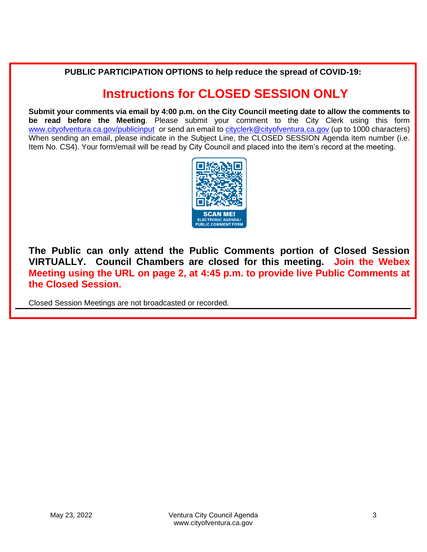**PUBLIC PARTICIPATION OPTIONS to help reduce the spread of COVID-19:**

# **Instructions for CLOSED SESSION ONLY**

**Submit your comments via email by 4:00 p.m. on the City Council meeting date to allow the comments to be read before the Meeting**. Please submit your comment to the City Clerk using this form [www.cityofventura.ca.gov/publicinput](http://www.cityofventura.ca.gov/publicinput) or send an email to [cityclerk@cityofventura.ca.gov](mailto:cityclerk@cityofventura.ca.gov) (up to 1000 characters) When sending an email, please indicate in the Subject Line, the CLOSED SESSION Agenda item number (i.e. Item No. CS4). Your form/email will be read by City Council and placed into the item's record at the meeting.



**The Public can only attend the Public Comments portion of Closed Session VIRTUALLY. Council Chambers are closed for this meeting. Join the Webex Meeting using the URL on page 2, at 4:45 p.m. to provide live Public Comments at the Closed Session.**

Closed Session Meetings are not broadcasted or recorded.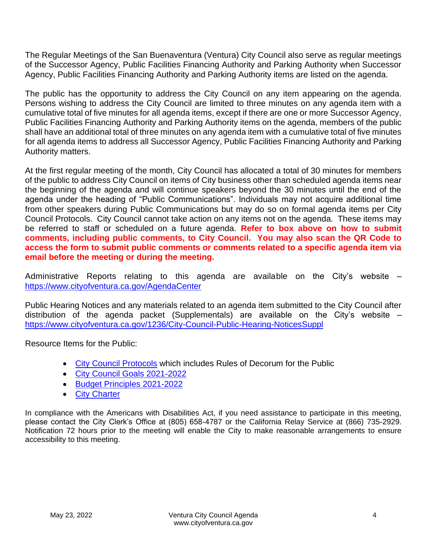The Regular Meetings of the San Buenaventura (Ventura) City Council also serve as regular meetings of the Successor Agency, Public Facilities Financing Authority and Parking Authority when Successor Agency, Public Facilities Financing Authority and Parking Authority items are listed on the agenda.

The public has the opportunity to address the City Council on any item appearing on the agenda. Persons wishing to address the City Council are limited to three minutes on any agenda item with a cumulative total of five minutes for all agenda items, except if there are one or more Successor Agency, Public Facilities Financing Authority and Parking Authority items on the agenda, members of the public shall have an additional total of three minutes on any agenda item with a cumulative total of five minutes for all agenda items to address all Successor Agency, Public Facilities Financing Authority and Parking Authority matters.

At the first regular meeting of the month, City Council has allocated a total of 30 minutes for members of the public to address City Council on items of City business other than scheduled agenda items near the beginning of the agenda and will continue speakers beyond the 30 minutes until the end of the agenda under the heading of "Public Communications". Individuals may not acquire additional time from other speakers during Public Communications but may do so on formal agenda items per City Council Protocols. City Council cannot take action on any items not on the agenda. These items may be referred to staff or scheduled on a future agenda. **Refer to box above on how to submit comments, including public comments, to City Council. You may also scan the QR Code to access the form to submit public comments or comments related to a specific agenda item via email before the meeting or during the meeting.**

Administrative Reports relating to this agenda are available on the City's website – <https://www.cityofventura.ca.gov/AgendaCenter>

Public Hearing Notices and any materials related to an agenda item submitted to the City Council after distribution of the agenda packet (Supplementals) are available on the City's website – <https://www.cityofventura.ca.gov/1236/City-Council-Public-Hearing-NoticesSuppl>

Resource Items for the Public:

- [City Council Protocols](https://www.cityofventura.ca.gov/DocumentCenter/View/7563/City-Council-Protocols) which includes Rules of Decorum for the Public
- [City Council Goals 2021-2022](https://www.cityofventura.ca.gov/DocumentCenter/View/26426/Adopted-City-Council-Goals-2021-2022-02242021)
- [Budget Principles 2021-2022](https://www.cityofventura.ca.gov/DocumentCenter/View/26427/FY-2021-22-Budget-Principles-Adopted-02242021)
- [City Charter](https://library.municode.com/ca/san_buenaventura/codes/code_of_ordinances?nodeId=CH)

In compliance with the Americans with Disabilities Act, if you need assistance to participate in this meeting, please contact the City Clerk's Office at (805) 658-4787 or the California Relay Service at (866) 735-2929. Notification 72 hours prior to the meeting will enable the City to make reasonable arrangements to ensure accessibility to this meeting.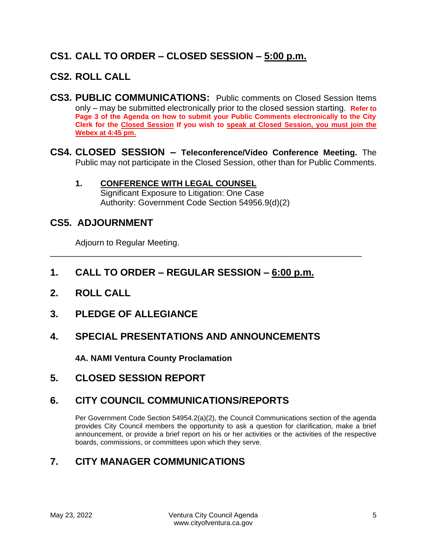# **CS1. CALL TO ORDER – CLOSED SESSION – 5:00 p.m.**

### **CS2. ROLL CALL**

- **CS3. PUBLIC COMMUNICATIONS:** Public comments on Closed Session Items only – may be submitted electronically prior to the closed session starting. **Refer to Page 3 of the Agenda on how to submit your Public Comments electronically to the City Clerk for the Closed Session If you wish to speak at Closed Session, you must join the Webex at 4:45 pm.**
- **CS4. CLOSED SESSION – Teleconference/Video Conference Meeting.** The Public may not participate in the Closed Session, other than for Public Comments.

#### **1. CONFERENCE WITH LEGAL COUNSEL** Significant Exposure to Litigation: One Case Authority: Government Code Section 54956.9(d)(2)

#### **CS5. ADJOURNMENT**

Adjourn to Regular Meeting.

**1. CALL TO ORDER – REGULAR SESSION – 6:00 p.m.**

\_\_\_\_\_\_\_\_\_\_\_\_\_\_\_\_\_\_\_\_\_\_\_\_\_\_\_\_\_\_\_\_\_\_\_\_\_\_\_\_\_\_\_\_\_\_\_\_\_\_\_\_\_\_\_\_\_\_\_\_\_\_\_\_\_\_\_

- **2. ROLL CALL**
- **3. PLEDGE OF ALLEGIANCE**

### **4. SPECIAL PRESENTATIONS AND ANNOUNCEMENTS**

**4A. NAMI Ventura County Proclamation**

**5. CLOSED SESSION REPORT**

### **6. CITY COUNCIL COMMUNICATIONS/REPORTS**

Per Government Code Section 54954.2(a)(2), the Council Communications section of the agenda provides City Council members the opportunity to ask a question for clarification, make a brief announcement, or provide a brief report on his or her activities or the activities of the respective boards, commissions, or committees upon which they serve.

# **7. CITY MANAGER COMMUNICATIONS**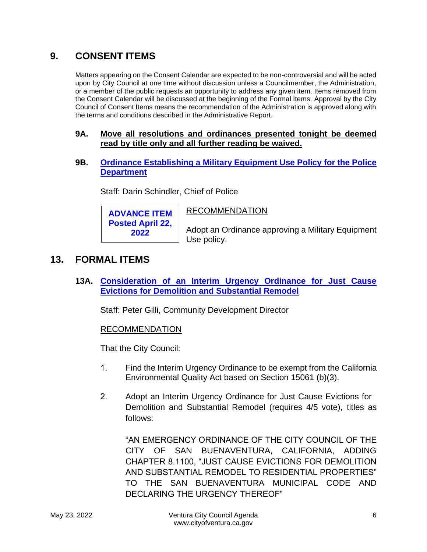# **9. CONSENT ITEMS**

Matters appearing on the Consent Calendar are expected to be non-controversial and will be acted upon by City Council at one time without discussion unless a Councilmember, the Administration, or a member of the public requests an opportunity to address any given item. Items removed from the Consent Calendar will be discussed at the beginning of the Formal Items. Approval by the City Council of Consent Items means the recommendation of the Administration is approved along with the terms and conditions described in the Administrative Report.

#### **9A. Move all resolutions and ordinances presented tonight be deemed read by title only and all further reading be waived.**

**9B. [Ordinance Establishing a Military Equipment Use Policy](https://www.cityofventura.ca.gov/DocumentCenter/View/31663/9B) for the Police [Department](https://www.cityofventura.ca.gov/DocumentCenter/View/31663/9B)**

**RECOMMENDATION** 

Staff: Darin Schindler, Chief of Police

**ADVANCE ITEM Posted April 22, 2022**

Adopt an Ordinance approving a Military Equipment

#### **13. FORMAL ITEMS**

**13A. [Consideration of an Interim Urgency Ordinance for Just Cause](https://www.cityofventura.ca.gov/DocumentCenter/View/31664/13A) [Evictions for Demolition and Substantial Remodel](https://www.cityofventura.ca.gov/DocumentCenter/View/31664/13A)**

Staff: Peter Gilli, Community Development Director

Use policy.

#### RECOMMENDATION

That the City Council:

- 1. Find the Interim Urgency Ordinance to be exempt from the California Environmental Quality Act based on Section 15061 (b)(3).
- 2. Adopt an Interim Urgency Ordinance for Just Cause Evictions for Demolition and Substantial Remodel (requires 4/5 vote), titles as follows:

"AN EMERGENCY ORDINANCE OF THE CITY COUNCIL OF THE CITY OF SAN BUENAVENTURA, CALIFORNIA, ADDING CHAPTER 8.1100, "JUST CAUSE EVICTIONS FOR DEMOLITION AND SUBSTANTIAL REMODEL TO RESIDENTIAL PROPERTIES" TO THE SAN BUENAVENTURA MUNICIPAL CODE AND DECLARING THE URGENCY THEREOF"